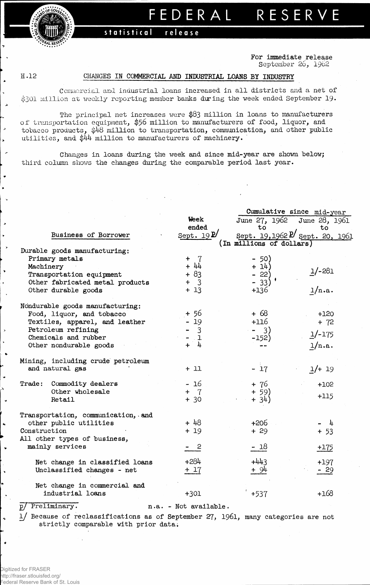$\frac{\text{conv}}{\text{conv}}$ . *f^AL***RE^ »**

## **FEDERA L RESERV E**

## **statistical release**

**For immediate release** September 26, 1962

 $\overline{\phantom{a}}$ 

 $\bullet$ 

## H .12 **CHANGES IN COMMERCIAL AND INDUSTRIAL LOANS BY INDUSTRY**

Ccrmaercial and industrial loans increased in all districts and a net of \$301 million at weekly reporting member banks during the week ended September 19.

The principal net increases were **\$83** million in loans to manufacturers of transportation equipment, \$56 million to manufacturers of food, liquor, and tobacco products, \$48 million to transportation, communication, and other public utilities, and \$44 million to manufacturers of machinery.

Changes **in loans during** the **week and since mid-year are shown below;** third column shows the **changes during** the **comparable period last year.**

|                                    |                       | Cumulative since mid-year |                                           |  |  |  |  |  |
|------------------------------------|-----------------------|---------------------------|-------------------------------------------|--|--|--|--|--|
|                                    | Week                  | June 27, 1962             | June 28, 1961                             |  |  |  |  |  |
|                                    | ended                 | to                        | to                                        |  |  |  |  |  |
| Business of Borrower               | Sept. $19\frac{D}{2}$ |                           | Sept. 19,1962 <sup>p</sup> Sept. 20, 1961 |  |  |  |  |  |
| Durable goods manufacturing:       |                       | (In millions of dollars)  |                                           |  |  |  |  |  |
| Primary metals                     | $+ 7$                 | $-50)$                    |                                           |  |  |  |  |  |
| Machinery                          | $+ 44$                | $+ 14)$                   |                                           |  |  |  |  |  |
| Transportation equipment           | $+83$                 | $-22)$                    | $1/-281$                                  |  |  |  |  |  |
| Other fabricated metal products    | $+ 3$                 | $-33)$                    |                                           |  |  |  |  |  |
| Other durable goods                | $+13$                 | $+136$                    | $\frac{1}{n}$ .a.                         |  |  |  |  |  |
| Nondurable goods manufacturing:    |                       |                           |                                           |  |  |  |  |  |
| Food, liquor, and tobacco          | + 56                  | + 68                      | $+120$                                    |  |  |  |  |  |
| Textiles, apparel, and leather     | $-19$                 | $+116$                    | $+ 72$                                    |  |  |  |  |  |
| Petroleum refining                 | $-3$                  | $-3)$                     |                                           |  |  |  |  |  |
| Chemicals and rubber               | $-1$                  | $-152)$                   | $1/-175$                                  |  |  |  |  |  |
| Other nondurable goods             | $+$ 4                 |                           | 1/n.a.                                    |  |  |  |  |  |
| Mining, including crude petroleum  |                       |                           |                                           |  |  |  |  |  |
| and natural gas                    | $+11$                 | $-17$                     | $1/+ 19$                                  |  |  |  |  |  |
| Trade: Commodity dealers           | - 16                  | + 76                      | $+102$                                    |  |  |  |  |  |
| Other wholesale                    | $+ 7$                 |                           |                                           |  |  |  |  |  |
| Retail                             | $+30$                 | $+ 59$<br>+ 34)           | $+115$                                    |  |  |  |  |  |
| Transportation, communication, and |                       |                           |                                           |  |  |  |  |  |
| other public utilities             | $+48$                 | $+206$                    | $-\frac{1}{4}$                            |  |  |  |  |  |
| Construction                       | $+19$                 | $+29$                     | $+ 53$                                    |  |  |  |  |  |
| All other types of business,       |                       |                           |                                           |  |  |  |  |  |
| mainly services                    | - 2                   | $-18$                     | $+175$                                    |  |  |  |  |  |
| Net change in classified loans     | $+284$                | $+443$                    | $+197$                                    |  |  |  |  |  |
| Unclassified changes - net         | $+17$                 | $+94$                     | $-29$                                     |  |  |  |  |  |
| Net change in commercial and       |                       |                           |                                           |  |  |  |  |  |
| industrial loans                   | $+301$                | +537                      | $+168$                                    |  |  |  |  |  |
|                                    |                       |                           |                                           |  |  |  |  |  |

**p/ Preliminary. n.a. - Not available.**

**l/ Because of reclassifications as of September 27, 1961, many categories are not strictly comparable with prior data;**